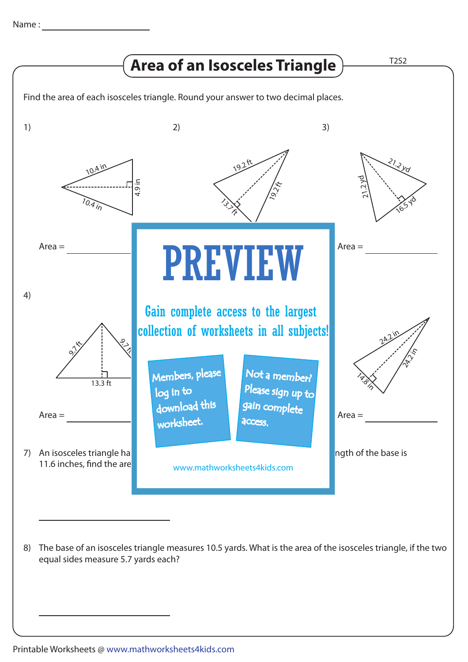